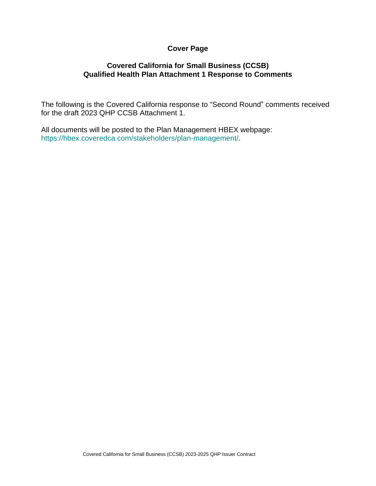## **Cover Page**

## **Covered California for Small Business (CCSB) Qualified Health Plan Attachment 1 Response to Comments**

The following is the Covered California response to "Second Round" comments received for the draft 2023 QHP CCSB Attachment 1.

All documents will be posted to the Plan Management HBEX webpage: https://hbex.coveredca.com/stakeholders/plan-management/.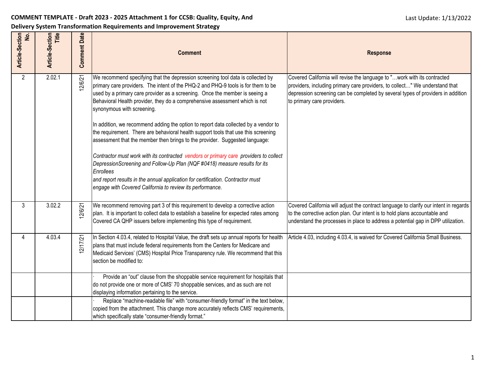## **COMMENT TEMPLATE - Draft 2023 - 2025 Attachment 1 for CCSB: Quality, Equity, And**

**Delivery System Transformation Requirements and Improvement Strategy**

| Article-Section<br>No. | Article-Section<br>Title | <b>Comment Date</b> | <b>Comment</b>                                                                                                                                                                                                                                                                                                                                                                                                                                                                                                                                                                                                                                                                                                                                                                                                                                                                                                                                                   | <b>Response</b>                                                                                                                                                                                                                                                          |
|------------------------|--------------------------|---------------------|------------------------------------------------------------------------------------------------------------------------------------------------------------------------------------------------------------------------------------------------------------------------------------------------------------------------------------------------------------------------------------------------------------------------------------------------------------------------------------------------------------------------------------------------------------------------------------------------------------------------------------------------------------------------------------------------------------------------------------------------------------------------------------------------------------------------------------------------------------------------------------------------------------------------------------------------------------------|--------------------------------------------------------------------------------------------------------------------------------------------------------------------------------------------------------------------------------------------------------------------------|
| $\overline{2}$         | 2.02.1                   | 12/6/21             | We recommend specifying that the depression screening tool data is collected by<br>primary care providers. The intent of the PHQ-2 and PHQ-9 tools is for them to be<br>used by a primary care provider as a screening. Once the member is seeing a<br>Behavioral Health provider, they do a comprehensive assessment which is not<br>synonymous with screening.<br>In addition, we recommend adding the option to report data collected by a vendor to<br>the requirement. There are behavioral health support tools that use this screening<br>assessment that the member then brings to the provider. Suggested language:<br>Contractor must work with its contracted vendors or primary care providers to collect<br>DepressionScreening and Follow-Up Plan (NQF #0418) measure results for its<br>Enrollees<br>and report results in the annual application for certification. Contractor must<br>engage with Covered California to review its performance. | Covered California will revise the language to "work with its contracted<br>providers, including primary care providers, to collect" We understand that<br>depression screening can be completed by several types of providers in addition<br>to primary care providers. |
| $\mathfrak{Z}$         | 3.02.2                   | 12/6/21             | We recommend removing part 3 of this requirement to develop a corrective action<br>plan. It is important to collect data to establish a baseline for expected rates among<br>Covered CA QHP issuers before implementing this type of requirement.                                                                                                                                                                                                                                                                                                                                                                                                                                                                                                                                                                                                                                                                                                                | Covered California will adjust the contract language to clarify our intent in regards<br>to the corrective action plan. Our intent is to hold plans accountable and<br>understand the processes in place to address a potential gap in DPP utilization.                  |
| 4                      | 4.03.4                   | 12/17/21            | In Section 4.03.4, related to Hospital Value, the draft sets up annual reports for health<br>plans that must include federal requirements from the Centers for Medicare and<br>Medicaid Services' (CMS) Hospital Price Transparency rule. We recommend that this<br>section be modified to:                                                                                                                                                                                                                                                                                                                                                                                                                                                                                                                                                                                                                                                                      | Article 4.03, including 4.03.4, is waived for Covered California Small Business.                                                                                                                                                                                         |
|                        |                          |                     | Provide an "out" clause from the shoppable service requirement for hospitals that<br>do not provide one or more of CMS' 70 shoppable services, and as such are not<br>displaying information pertaining to the service.                                                                                                                                                                                                                                                                                                                                                                                                                                                                                                                                                                                                                                                                                                                                          |                                                                                                                                                                                                                                                                          |
|                        |                          |                     | Replace "machine-readable file" with "consumer-friendly format" in the text below,<br>copied from the attachment. This change more accurately reflects CMS' requirements,<br>which specifically state "consumer-friendly format."                                                                                                                                                                                                                                                                                                                                                                                                                                                                                                                                                                                                                                                                                                                                |                                                                                                                                                                                                                                                                          |